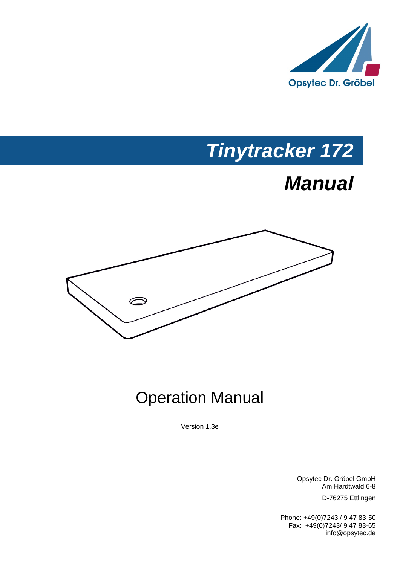

# *Tinytracker 172*

# *Manual*



# Operation Manual

Version 1.3e

Opsytec Dr. Gröbel GmbH Am Hardtwald 6-8

D-76275 Ettlingen

Phone: +49(0)7243 / 9 47 83-50 Fax: +49(0)7243/ 9 47 83-65 info@opsytec.de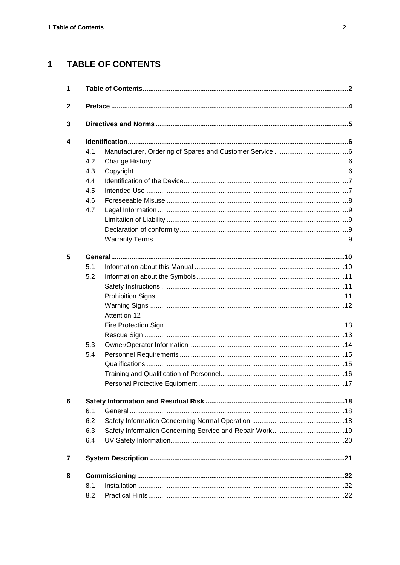#### **TABLE OF CONTENTS**  $\overline{1}$

| 1                       |     |                     |  |
|-------------------------|-----|---------------------|--|
| 2                       |     |                     |  |
| 3                       |     |                     |  |
| $\overline{\mathbf{4}}$ |     |                     |  |
|                         | 4.1 |                     |  |
|                         | 4.2 |                     |  |
|                         | 4.3 |                     |  |
|                         | 4.4 |                     |  |
|                         | 4.5 |                     |  |
|                         | 4.6 |                     |  |
|                         | 4.7 |                     |  |
|                         |     |                     |  |
|                         |     |                     |  |
|                         |     |                     |  |
| 5                       |     |                     |  |
|                         | 5.1 |                     |  |
|                         | 5.2 |                     |  |
|                         |     |                     |  |
|                         |     |                     |  |
|                         |     |                     |  |
|                         |     | <b>Attention 12</b> |  |
|                         |     |                     |  |
|                         |     |                     |  |
|                         | 5.3 |                     |  |
|                         | 5.4 |                     |  |
|                         |     |                     |  |
|                         |     |                     |  |
|                         |     |                     |  |
| 6                       |     |                     |  |
|                         | 6.1 |                     |  |
|                         | 6.2 |                     |  |
|                         | 6.3 |                     |  |
|                         | 6.4 |                     |  |
| 7                       |     |                     |  |
| 8                       |     |                     |  |
|                         | 8.1 |                     |  |
|                         | 8.2 |                     |  |
|                         |     |                     |  |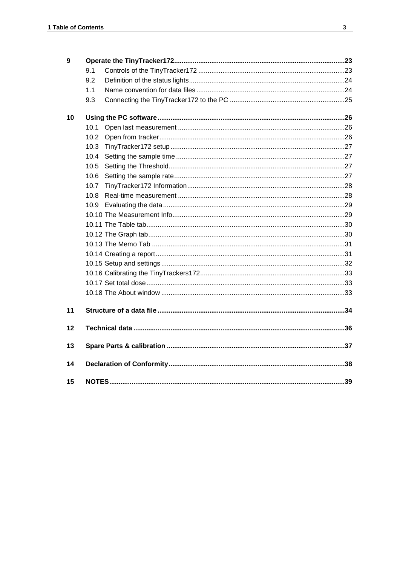| $\mathbf{9}$ |      |  |
|--------------|------|--|
|              | 9.1  |  |
|              | 9.2  |  |
|              | 1.1  |  |
|              | 9.3  |  |
| 10           |      |  |
|              | 10.1 |  |
|              | 10.2 |  |
|              | 10.3 |  |
|              | 10.4 |  |
|              | 10.5 |  |
|              | 10.6 |  |
|              | 10.7 |  |
|              | 10.8 |  |
|              | 10.9 |  |
|              |      |  |
|              |      |  |
|              |      |  |
|              |      |  |
|              |      |  |
|              |      |  |
|              |      |  |
|              |      |  |
|              |      |  |
| 11           |      |  |
| 12           |      |  |
| 13           |      |  |
| 14           |      |  |
| 15           |      |  |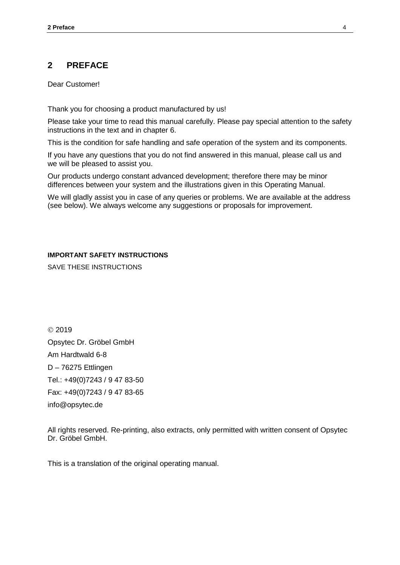# **2 PREFACE**

Dear Customer!

Thank you for choosing a product manufactured by us!

Please take your time to read this manual carefully. Please pay special attention to the safety instructions in the text and in chapter [6.](#page-17-0)

This is the condition for safe handling and safe operation of the system and its components.

If you have any questions that you do not find answered in this manual, please call us and we will be pleased to assist you.

Our products undergo constant advanced development; therefore there may be minor differences between your system and the illustrations given in this Operating Manual.

We will gladly assist you in case of any queries or problems. We are available at the address (see below). We always welcome any suggestions or proposals for improvement.

## **IMPORTANT SAFETY INSTRUCTIONS**

SAVE THESE INSTRUCTIONS

 $@$  2019 Opsytec Dr. Gröbel GmbH Am Hardtwald 6-8 D – 76275 Ettlingen Tel.: +49(0)7243 / 9 47 83-50 Fax: +49(0)7243 / 9 47 83-65 info@opsytec.de

All rights reserved. Re-printing, also extracts, only permitted with written consent of Opsytec Dr. Gröbel GmbH.

This is a translation of the original operating manual.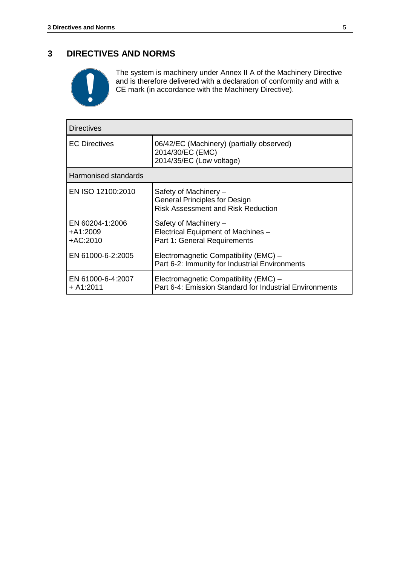# **3 DIRECTIVES AND NORMS**



The system is machinery under Annex II A of the Machinery Directive and is therefore delivered with a declaration of conformity and with a CE mark (in accordance with the Machinery Directive).

| <b>Directives</b>                       |                                                                                                            |  |  |
|-----------------------------------------|------------------------------------------------------------------------------------------------------------|--|--|
| <b>EC Directives</b>                    | 06/42/EC (Machinery) (partially observed)<br>2014/30/EC (EMC)<br>2014/35/EC (Low voltage)                  |  |  |
| Harmonised standards                    |                                                                                                            |  |  |
| EN ISO 12100:2010                       | Safety of Machinery -<br><b>General Principles for Design</b><br><b>Risk Assessment and Risk Reduction</b> |  |  |
| EN 60204-1:2006<br>+A1:2009<br>+AC:2010 | Safety of Machinery -<br>Electrical Equipment of Machines -<br>Part 1: General Requirements                |  |  |
| EN 61000-6-2:2005                       | Electromagnetic Compatibility (EMC) -<br>Part 6-2: Immunity for Industrial Environments                    |  |  |
| EN 61000-6-4:2007<br>$+ A1:2011$        | Electromagnetic Compatibility (EMC) -<br>Part 6-4: Emission Standard for Industrial Environments           |  |  |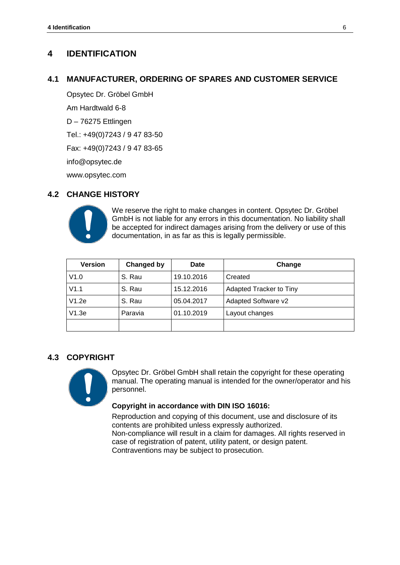# **4 IDENTIFICATION**

## **4.1 MANUFACTURER, ORDERING OF SPARES AND CUSTOMER SERVICE**

Opsytec Dr. Gröbel GmbH Am Hardtwald 6-8 D – 76275 Ettlingen Tel.: +49(0)7243 / 9 47 83-50 Fax: +49(0)7243 / 9 47 83-65 info@opsytec.de www.opsytec.com

## **4.2 CHANGE HISTORY**

![](_page_5_Picture_5.jpeg)

We reserve the right to make changes in content. Opsytec Dr. Gröbel GmbH is not liable for any errors in this documentation. No liability shall be accepted for indirect damages arising from the delivery or use of this documentation, in as far as this is legally permissible.

| <b>Version</b> | Changed by | <b>Date</b> | Change                  |
|----------------|------------|-------------|-------------------------|
| V1.0           | S. Rau     | 19.10.2016  | Created                 |
| V1.1           | S. Rau     | 15.12.2016  | Adapted Tracker to Tiny |
| V1.2e          | S. Rau     | 05.04.2017  | Adapted Software v2     |
| V1.3e          | Paravia    | 01.10.2019  | Layout changes          |
|                |            |             |                         |

# **4.3 COPYRIGHT**

![](_page_5_Picture_9.jpeg)

Opsytec Dr. Gröbel GmbH shall retain the copyright for these operating manual. The operating manual is intended for the owner/operator and his personnel.

## **Copyright in accordance with DIN ISO 16016:**

Reproduction and copying of this document, use and disclosure of its contents are prohibited unless expressly authorized. Non-compliance will result in a claim for damages. All rights reserved in case of registration of patent, utility patent, or design patent. Contraventions may be subject to prosecution.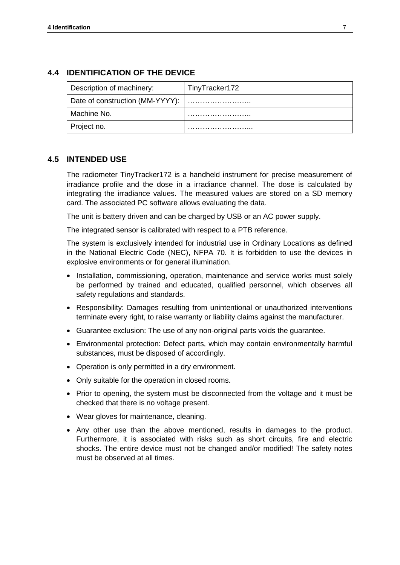# **4.4 IDENTIFICATION OF THE DEVICE**

| Description of machinery:       | TinyTracker172 |
|---------------------------------|----------------|
| Date of construction (MM-YYYY): |                |
| Machine No.                     |                |
| Project no.                     |                |

# **4.5 INTENDED USE**

The radiometer TinyTracker172 is a handheld instrument for precise measurement of irradiance profile and the dose in a irradiance channel. The dose is calculated by integrating the irradiance values. The measured values are stored on a SD memory card. The associated PC software allows evaluating the data.

The unit is battery driven and can be charged by USB or an AC power supply.

The integrated sensor is calibrated with respect to a PTB reference.

The system is exclusively intended for industrial use in Ordinary Locations as defined in the National Electric Code (NEC), NFPA 70. It is forbidden to use the devices in explosive environments or for general illumination.

- Installation, commissioning, operation, maintenance and service works must solely be performed by trained and educated, qualified personnel, which observes all safety regulations and standards.
- Responsibility: Damages resulting from unintentional or unauthorized interventions terminate every right, to raise warranty or liability claims against the manufacturer.
- Guarantee exclusion: The use of any non-original parts voids the guarantee.
- Environmental protection: Defect parts, which may contain environmentally harmful substances, must be disposed of accordingly.
- Operation is only permitted in a dry environment.
- Only suitable for the operation in closed rooms.
- Prior to opening, the system must be disconnected from the voltage and it must be checked that there is no voltage present.
- Wear gloves for maintenance, cleaning.
- Any other use than the above mentioned, results in damages to the product. Furthermore, it is associated with risks such as short circuits, fire and electric shocks. The entire device must not be changed and/or modified! The safety notes must be observed at all times.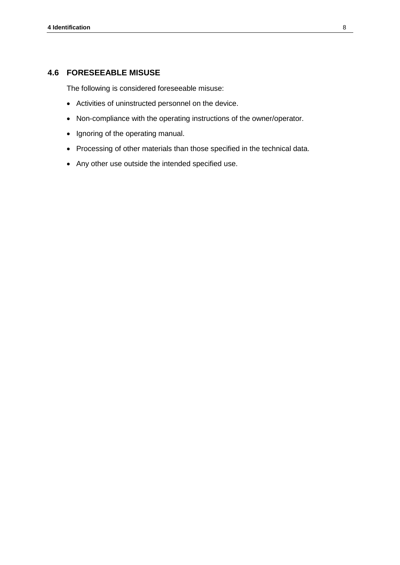# **4.6 FORESEEABLE MISUSE**

The following is considered foreseeable misuse:

- Activities of uninstructed personnel on the device.
- Non-compliance with the operating instructions of the owner/operator.
- Ignoring of the operating manual.
- Processing of other materials than those specified in the technical data.
- Any other use outside the intended specified use.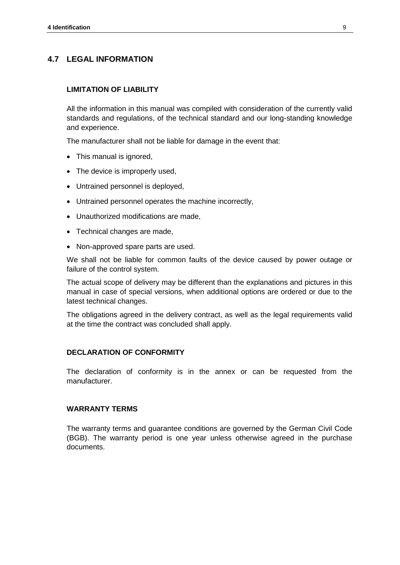# **4.7 LEGAL INFORMATION**

#### **LIMITATION OF LIABILITY**

All the information in this manual was compiled with consideration of the currently valid standards and regulations, of the technical standard and our long-standing knowledge and experience.

The manufacturer shall not be liable for damage in the event that:

- This manual is ignored,
- The device is improperly used,
- Untrained personnel is deployed,
- Untrained personnel operates the machine incorrectly,
- Unauthorized modifications are made,
- Technical changes are made,
- Non-approved spare parts are used.

We shall not be liable for common faults of the device caused by power outage or failure of the control system.

The actual scope of delivery may be different than the explanations and pictures in this manual in case of special versions, when additional options are ordered or due to the latest technical changes.

The obligations agreed in the delivery contract, as well as the legal requirements valid at the time the contract was concluded shall apply.

## **DECLARATION OF CONFORMITY**

The declaration of conformity is in the annex or can be requested from the manufacturer.

## **WARRANTY TERMS**

The warranty terms and guarantee conditions are governed by the German Civil Code (BGB). The warranty period is one year unless otherwise agreed in the purchase documents.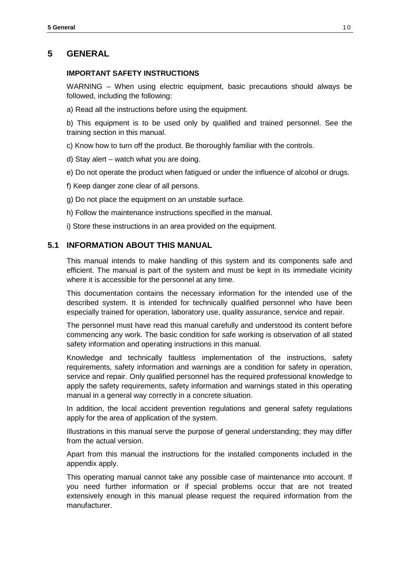# **5 GENERAL**

## **IMPORTANT SAFETY INSTRUCTIONS**

WARNING – When using electric equipment, basic precautions should always be followed, including the following:

a) Read all the instructions before using the equipment.

b) This equipment is to be used only by qualified and trained personnel. See the training section in this manual.

c) Know how to turn off the product. Be thoroughly familiar with the controls.

d) Stay alert – watch what you are doing.

e) Do not operate the product when fatigued or under the influence of alcohol or drugs.

f) Keep danger zone clear of all persons.

g) Do not place the equipment on an unstable surface.

h) Follow the maintenance instructions specified in the manual.

i) Store these instructions in an area provided on the equipment.

# **5.1 INFORMATION ABOUT THIS MANUAL**

This manual intends to make handling of this system and its components safe and efficient. The manual is part of the system and must be kept in its immediate vicinity where it is accessible for the personnel at any time.

This documentation contains the necessary information for the intended use of the described system. It is intended for technically qualified personnel who have been especially trained for operation, laboratory use, quality assurance, service and repair.

The personnel must have read this manual carefully and understood its content before commencing any work. The basic condition for safe working is observation of all stated safety information and operating instructions in this manual.

Knowledge and technically faultless implementation of the instructions, safety requirements, safety information and warnings are a condition for safety in operation, service and repair. Only qualified personnel has the required professional knowledge to apply the safety requirements, safety information and warnings stated in this operating manual in a general way correctly in a concrete situation.

In addition, the local accident prevention regulations and general safety regulations apply for the area of application of the system.

Illustrations in this manual serve the purpose of general understanding; they may differ from the actual version.

Apart from this manual the instructions for the installed components included in the appendix apply.

This operating manual cannot take any possible case of maintenance into account. If you need further information or if special problems occur that are not treated extensively enough in this manual please request the required information from the manufacturer.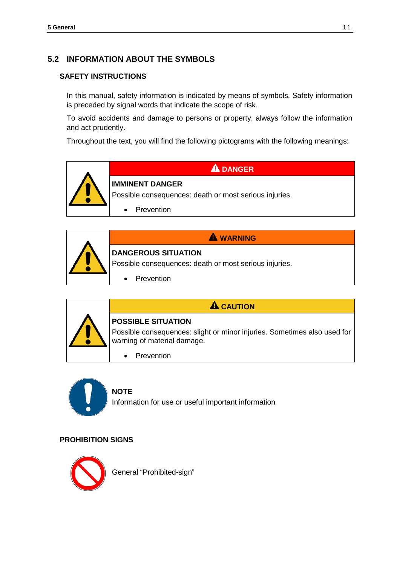# **5.2 INFORMATION ABOUT THE SYMBOLS**

# **SAFETY INSTRUCTIONS**

In this manual, safety information is indicated by means of symbols. Safety information is preceded by signal words that indicate the scope of risk.

To avoid accidents and damage to persons or property, always follow the information and act prudently.

Throughout the text, you will find the following pictograms with the following meanings:

![](_page_10_Picture_6.jpeg)

![](_page_10_Figure_7.jpeg)

**A** WARNING

Possible consequences: death or most serious injuries.

**Prevention** 

# **A** CAUTION

![](_page_10_Picture_12.jpeg)

Possible consequences: slight or minor injuries. Sometimes also used for warning of material damage.

• Prevention

![](_page_10_Picture_15.jpeg)

## **NOTE**

Information for use or useful important information

# **PROHIBITION SIGNS**

![](_page_10_Picture_19.jpeg)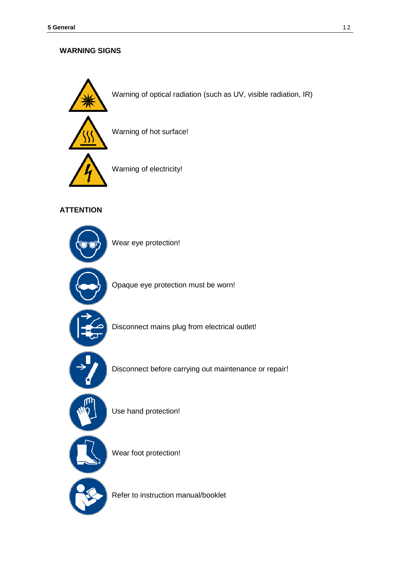# **WARNING SIGNS**

![](_page_11_Picture_2.jpeg)

Warning of hot surface!

Warning of optical radiation (such as UV, visible radiation, IR)

![](_page_11_Picture_4.jpeg)

Warning of electricity!

# **ATTENTION**

![](_page_11_Figure_7.jpeg)

Wear eye protection!

Opaque eye protection must be worn!

![](_page_11_Picture_10.jpeg)

Disconnect mains plug from electrical outlet!

![](_page_11_Picture_12.jpeg)

Disconnect before carrying out maintenance or repair!

![](_page_11_Picture_14.jpeg)

Use hand protection!

Wear foot protection!

Refer to instruction manual/booklet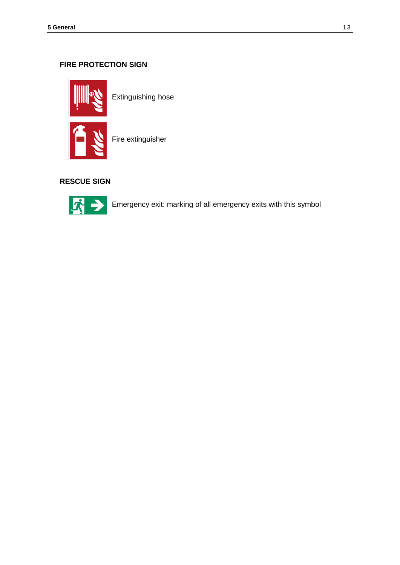# **FIRE PROTECTION SIGN**

![](_page_12_Picture_2.jpeg)

Extinguishing hose

![](_page_12_Picture_4.jpeg)

Fire extinguisher

# **RESCUE SIGN**

![](_page_12_Picture_7.jpeg)

Emergency exit: marking of all emergency exits with this symbol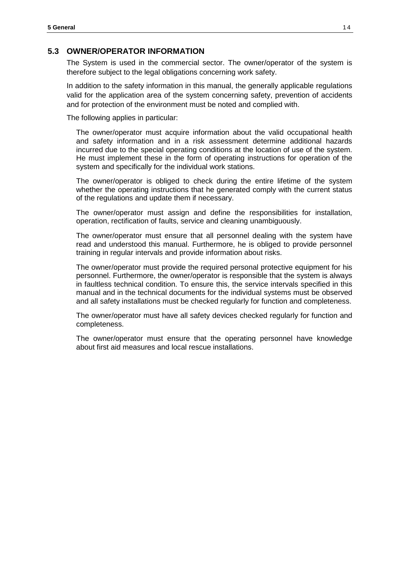## **5.3 OWNER/OPERATOR INFORMATION**

The System is used in the commercial sector. The owner/operator of the system is therefore subject to the legal obligations concerning work safety.

In addition to the safety information in this manual, the generally applicable regulations valid for the application area of the system concerning safety, prevention of accidents and for protection of the environment must be noted and complied with.

The following applies in particular:

The owner/operator must acquire information about the valid occupational health and safety information and in a risk assessment determine additional hazards incurred due to the special operating conditions at the location of use of the system. He must implement these in the form of operating instructions for operation of the system and specifically for the individual work stations.

The owner/operator is obliged to check during the entire lifetime of the system whether the operating instructions that he generated comply with the current status of the regulations and update them if necessary.

The owner/operator must assign and define the responsibilities for installation, operation, rectification of faults, service and cleaning unambiguously.

The owner/operator must ensure that all personnel dealing with the system have read and understood this manual. Furthermore, he is obliged to provide personnel training in regular intervals and provide information about risks.

The owner/operator must provide the required personal protective equipment for his personnel. Furthermore, the owner/operator is responsible that the system is always in faultless technical condition. To ensure this, the service intervals specified in this manual and in the technical documents for the individual systems must be observed and all safety installations must be checked regularly for function and completeness.

The owner/operator must have all safety devices checked regularly for function and completeness.

The owner/operator must ensure that the operating personnel have knowledge about first aid measures and local rescue installations.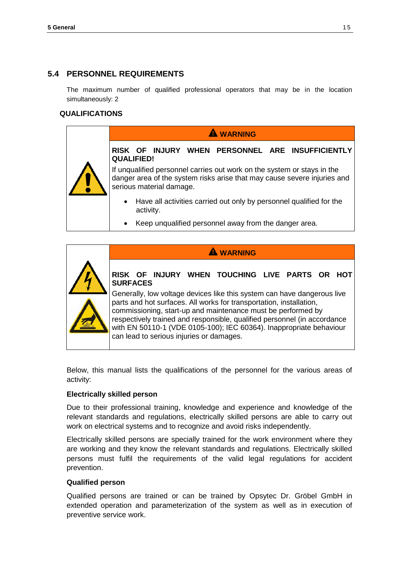# **5.4 PERSONNEL REQUIREMENTS**

The maximum number of qualified professional operators that may be in the location simultaneously: 2

## **QUALIFICATIONS**

| <b>A WARNING</b>                                                                                                                                                                |  |  |  |  |  |  |
|---------------------------------------------------------------------------------------------------------------------------------------------------------------------------------|--|--|--|--|--|--|
| RISK OF INJURY WHEN PERSONNEL ARE INSUFFICIENTLY<br><b>QUALIFIED!</b>                                                                                                           |  |  |  |  |  |  |
| If unqualified personnel carries out work on the system or stays in the<br>danger area of the system risks arise that may cause severe injuries and<br>serious material damage. |  |  |  |  |  |  |
| • Have all activities carried out only by personnel qualified for the<br>activity.                                                                                              |  |  |  |  |  |  |
| Keep unqualified personnel away from the danger area.                                                                                                                           |  |  |  |  |  |  |

![](_page_14_Picture_5.jpeg)

# **RISK OF INJURY WHEN TOUCHING LIVE PARTS OR HOT SURFACES**

**WARNING**

Generally, low voltage devices like this system can have dangerous live parts and hot surfaces. All works for transportation, installation, commissioning, start-up and maintenance must be performed by respectively trained and responsible, qualified personnel (in accordance with EN 50110-1 (VDE 0105-100); IEC 60364). Inappropriate behaviour can lead to serious injuries or damages.

Below, this manual lists the qualifications of the personnel for the various areas of activity:

## **Electrically skilled person**

Due to their professional training, knowledge and experience and knowledge of the relevant standards and regulations, electrically skilled persons are able to carry out work on electrical systems and to recognize and avoid risks independently.

Electrically skilled persons are specially trained for the work environment where they are working and they know the relevant standards and regulations. Electrically skilled persons must fulfil the requirements of the valid legal regulations for accident prevention.

## **Qualified person**

Qualified persons are trained or can be trained by Opsytec Dr. Gröbel GmbH in extended operation and parameterization of the system as well as in execution of preventive service work.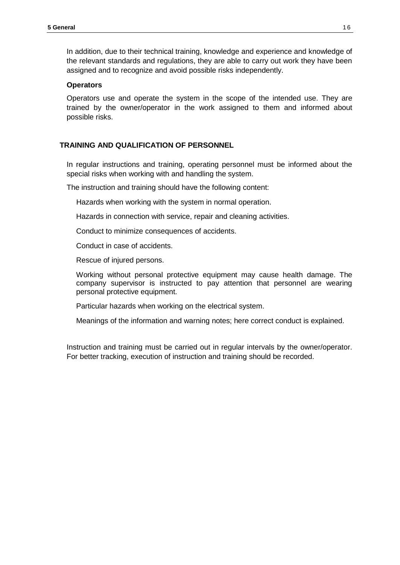In addition, due to their technical training, knowledge and experience and knowledge of the relevant standards and regulations, they are able to carry out work they have been assigned and to recognize and avoid possible risks independently.

## **Operators**

Operators use and operate the system in the scope of the intended use. They are trained by the owner/operator in the work assigned to them and informed about possible risks.

## **TRAINING AND QUALIFICATION OF PERSONNEL**

In regular instructions and training, operating personnel must be informed about the special risks when working with and handling the system.

The instruction and training should have the following content:

Hazards when working with the system in normal operation.

Hazards in connection with service, repair and cleaning activities.

Conduct to minimize consequences of accidents.

Conduct in case of accidents.

Rescue of injured persons.

Working without personal protective equipment may cause health damage. The company supervisor is instructed to pay attention that personnel are wearing personal protective equipment.

Particular hazards when working on the electrical system.

Meanings of the information and warning notes; here correct conduct is explained.

Instruction and training must be carried out in regular intervals by the owner/operator. For better tracking, execution of instruction and training should be recorded.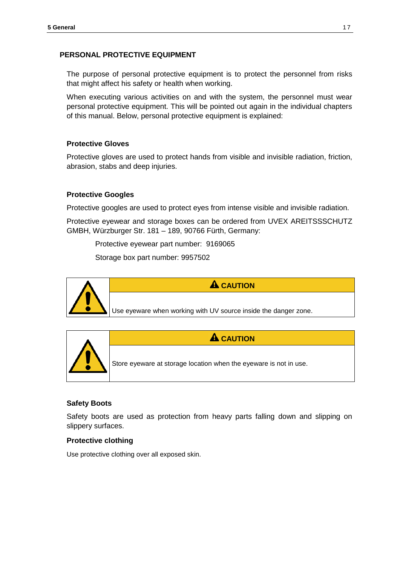# **PERSONAL PROTECTIVE EQUIPMENT**

The purpose of personal protective equipment is to protect the personnel from risks that might affect his safety or health when working.

When executing various activities on and with the system, the personnel must wear personal protective equipment. This will be pointed out again in the individual chapters of this manual. Below, personal protective equipment is explained:

## **Protective Gloves**

Protective gloves are used to protect hands from visible and invisible radiation, friction, abrasion, stabs and deep injuries.

# **Protective Googles**

Protective googles are used to protect eyes from intense visible and invisible radiation.

Protective eyewear and storage boxes can be ordered from UVEX AREITSSSCHUTZ GMBH, Würzburger Str. 181 – 189, 90766 Fürth, Germany:

Protective eyewear part number: 9169065

Storage box part number: 9957502

![](_page_16_Picture_11.jpeg)

![](_page_16_Picture_12.jpeg)

## **Safety Boots**

Safety boots are used as protection from heavy parts falling down and slipping on slippery surfaces.

## **Protective clothing**

Use protective clothing over all exposed skin.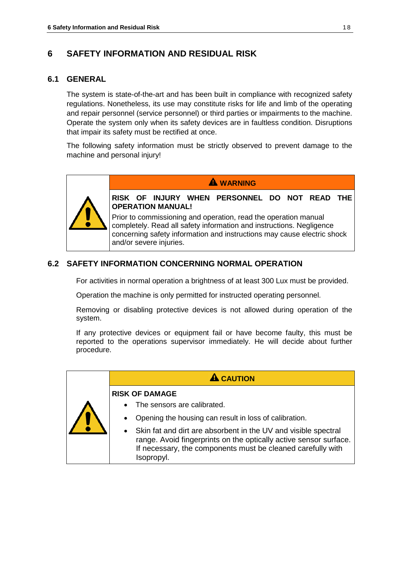# <span id="page-17-0"></span>**6 SAFETY INFORMATION AND RESIDUAL RISK**

# **6.1 GENERAL**

The system is state-of-the-art and has been built in compliance with recognized safety regulations. Nonetheless, its use may constitute risks for life and limb of the operating and repair personnel (service personnel) or third parties or impairments to the machine. Operate the system only when its safety devices are in faultless condition. Disruptions that impair its safety must be rectified at once.

The following safety information must be strictly observed to prevent damage to the machine and personal injury!

![](_page_17_Picture_5.jpeg)

**RISK OF INJURY WHEN PERSONNEL DO NOT READ THE OPERATION MANUAL!**

**WARNING**

Prior to commissioning and operation, read the operation manual completely. Read all safety information and instructions. Negligence concerning safety information and instructions may cause electric shock and/or severe injuries.

# **6.2 SAFETY INFORMATION CONCERNING NORMAL OPERATION**

For activities in normal operation a brightness of at least 300 Lux must be provided.

Operation the machine is only permitted for instructed operating personnel.

Removing or disabling protective devices is not allowed during operation of the system.

If any protective devices or equipment fail or have become faulty, this must be reported to the operations supervisor immediately. He will decide about further procedure.

![](_page_17_Figure_14.jpeg)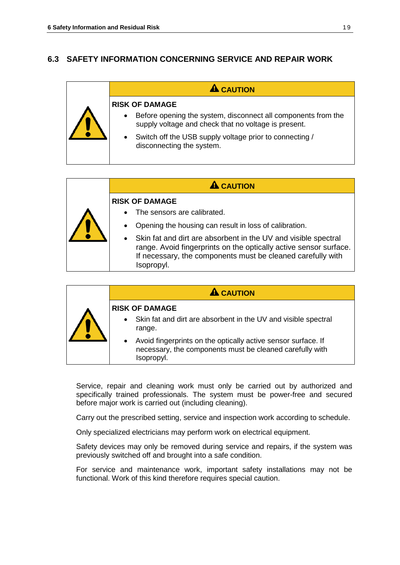# **6.3 SAFETY INFORMATION CONCERNING SERVICE AND REPAIR WORK**

# **A** CAUTION **RISK OF DAMAGE** • Before opening the system, disconnect all components from the supply voltage and check that no voltage is present. • Switch off the USB supply voltage prior to connecting / disconnecting the system.

| $\mathbf A$ CAUTION                                                                                                                                                                                                |
|--------------------------------------------------------------------------------------------------------------------------------------------------------------------------------------------------------------------|
| <b>RISK OF DAMAGE</b>                                                                                                                                                                                              |
| The sensors are calibrated.<br>$\bullet$                                                                                                                                                                           |
| Opening the housing can result in loss of calibration.                                                                                                                                                             |
| • Skin fat and dirt are absorbent in the UV and visible spectral<br>range. Avoid fingerprints on the optically active sensor surface.<br>If necessary, the components must be cleaned carefully with<br>Isopropyl. |

| <b>CAUTION</b>                                                                                                                                       |
|------------------------------------------------------------------------------------------------------------------------------------------------------|
| <b>RISK OF DAMAGE</b><br>Skin fat and dirt are absorbent in the UV and visible spectral<br>$\bullet$<br>range.                                       |
| Avoid fingerprints on the optically active sensor surface. If<br>$\bullet$<br>necessary, the components must be cleaned carefully with<br>Isopropyl. |

Service, repair and cleaning work must only be carried out by authorized and specifically trained professionals. The system must be power-free and secured before major work is carried out (including cleaning).

Carry out the prescribed setting, service and inspection work according to schedule.

Only specialized electricians may perform work on electrical equipment.

Safety devices may only be removed during service and repairs, if the system was previously switched off and brought into a safe condition.

For service and maintenance work, important safety installations may not be functional. Work of this kind therefore requires special caution.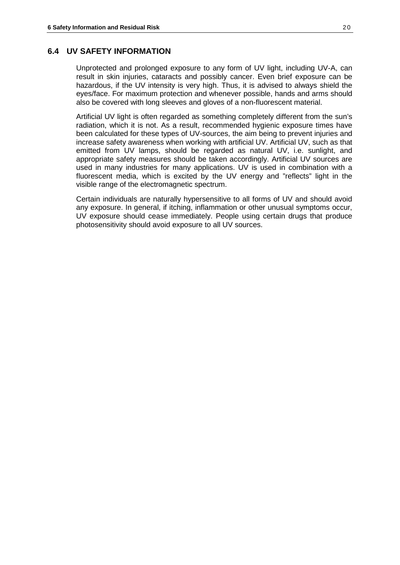#### **6.4 UV SAFETY INFORMATION**

Unprotected and prolonged exposure to any form of UV light, including UV-A, can result in skin injuries, cataracts and possibly cancer. Even brief exposure can be hazardous, if the UV intensity is very high. Thus, it is advised to always shield the eyes/face. For maximum protection and whenever possible, hands and arms should also be covered with long sleeves and gloves of a non-fluorescent material.

Artificial UV light is often regarded as something completely different from the sun's radiation, which it is not. As a result, recommended hygienic exposure times have been calculated for these types of UV-sources, the aim being to prevent injuries and increase safety awareness when working with artificial UV. Artificial UV, such as that emitted from UV lamps, should be regarded as natural UV, i.e. sunlight, and appropriate safety measures should be taken accordingly. Artificial UV sources are used in many industries for many applications. UV is used in combination with a fluorescent media, which is excited by the UV energy and "reflects" light in the visible range of the electromagnetic spectrum.

Certain individuals are naturally hypersensitive to all forms of UV and should avoid any exposure. In general, if itching, inflammation or other unusual symptoms occur, UV exposure should cease immediately. People using certain drugs that produce photosensitivity should avoid exposure to all UV sources.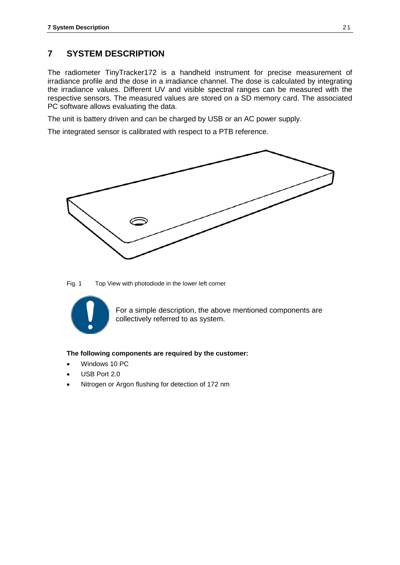# **7 SYSTEM DESCRIPTION**

The radiometer TinyTracker172 is a handheld instrument for precise measurement of irradiance profile and the dose in a irradiance channel. The dose is calculated by integrating the irradiance values. Different UV and visible spectral ranges can be measured with the respective sensors. The measured values are stored on a SD memory card. The associated PC software allows evaluating the data.

The unit is battery driven and can be charged by USB or an AC power supply.

The integrated sensor is calibrated with respect to a PTB reference.

![](_page_20_Figure_5.jpeg)

![](_page_20_Figure_6.jpeg)

![](_page_20_Picture_7.jpeg)

For a simple description, the above mentioned components are collectively referred to as system.

## **The following components are required by the customer:**

- Windows 10 PC
- USB Port 2.0
- Nitrogen or Argon flushing for detection of 172 nm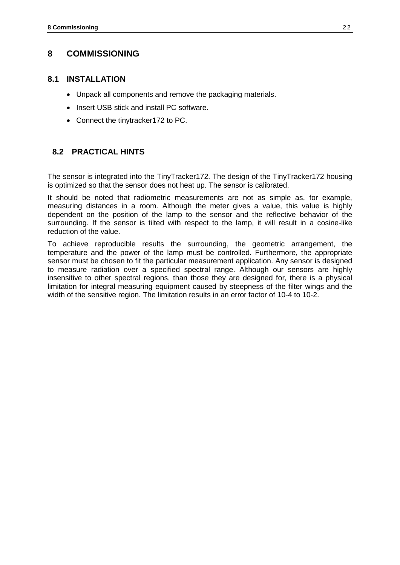# **8 COMMISSIONING**

## **8.1 INSTALLATION**

- Unpack all components and remove the packaging materials.
- Insert USB stick and install PC software.
- Connect the tinytracker172 to PC.

# **8.2 PRACTICAL HINTS**

The sensor is integrated into the TinyTracker172. The design of the TinyTracker172 housing is optimized so that the sensor does not heat up. The sensor is calibrated.

It should be noted that radiometric measurements are not as simple as, for example, measuring distances in a room. Although the meter gives a value, this value is highly dependent on the position of the lamp to the sensor and the reflective behavior of the surrounding. If the sensor is tilted with respect to the lamp, it will result in a cosine-like reduction of the value.

To achieve reproducible results the surrounding, the geometric arrangement, the temperature and the power of the lamp must be controlled. Furthermore, the appropriate sensor must be chosen to fit the particular measurement application. Any sensor is designed to measure radiation over a specified spectral range. Although our sensors are highly insensitive to other spectral regions, than those they are designed for, there is a physical limitation for integral measuring equipment caused by steepness of the filter wings and the width of the sensitive region. The limitation results in an error factor of 10-4 to 10-2.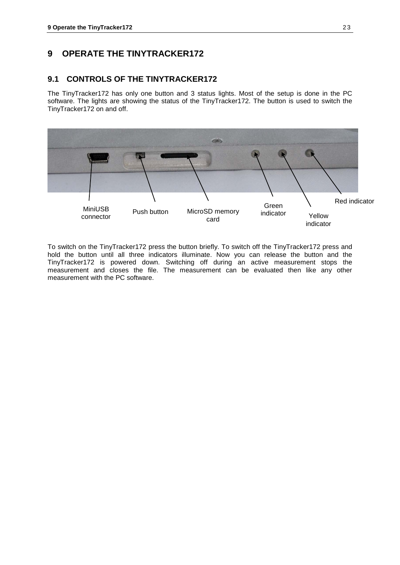# **9 OPERATE THE TINYTRACKER172**

# **9.1 CONTROLS OF THE TINYTRACKER172**

The TinyTracker172 has only one button and 3 status lights. Most of the setup is done in the PC software. The lights are showing the status of the TinyTracker172. The button is used to switch the TinyTracker172 on and off.

![](_page_22_Figure_4.jpeg)

To switch on the TinyTracker172 press the button briefly. To switch off the TinyTracker172 press and hold the button until all three indicators illuminate. Now you can release the button and the TinyTracker172 is powered down. Switching off during an active measurement stops the measurement and closes the file. The measurement can be evaluated then like any other measurement with the PC software.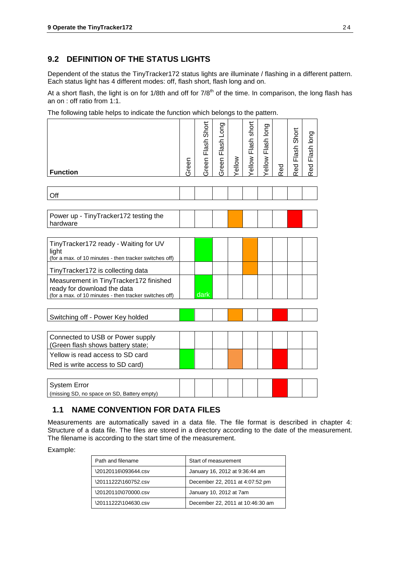# **9.2 DEFINITION OF THE STATUS LIGHTS**

Dependent of the status the TinyTracker172 status lights are illuminate / flashing in a different pattern. Each status light has 4 different modes: off, flash short, flash long and on.

At a short flash, the light is on for 1/8th and off for  $7/8<sup>th</sup>$  of the time. In comparison, the long flash has an on : off ratio from 1:1.

The following table helps to indicate the function which belongs to the pattern.

| <b>Function</b>                                                                                                                 | Green | Green Flash Short | Green Flash Long | wolle | ellow Flash short | ellow Flash long | Red | Red Flash Short | Red Flash long |
|---------------------------------------------------------------------------------------------------------------------------------|-------|-------------------|------------------|-------|-------------------|------------------|-----|-----------------|----------------|
| Off                                                                                                                             |       |                   |                  |       |                   |                  |     |                 |                |
| Power up - TinyTracker172 testing the<br>hardware                                                                               |       |                   |                  |       |                   |                  |     |                 |                |
| TinyTracker172 ready - Waiting for UV<br>light<br>(for a max. of 10 minutes - then tracker switches off)                        |       |                   |                  |       |                   |                  |     |                 |                |
| TinyTracker172 is collecting data                                                                                               |       |                   |                  |       |                   |                  |     |                 |                |
| Measurement in TinyTracker172 finished<br>ready for download the data<br>(for a max. of 10 minutes - then tracker switches off) |       | dark              |                  |       |                   |                  |     |                 |                |
|                                                                                                                                 |       |                   |                  |       |                   |                  |     |                 |                |
| Switching off - Power Key holded                                                                                                |       |                   |                  |       |                   |                  |     |                 |                |
| Connected to USB or Power supply<br>(Green flash shows battery state;                                                           |       |                   |                  |       |                   |                  |     |                 |                |
| Yellow is read access to SD card<br>Red is write access to SD card)                                                             |       |                   |                  |       |                   |                  |     |                 |                |
|                                                                                                                                 |       |                   |                  |       |                   |                  |     |                 |                |
| <b>System Error</b><br>(missing SD, no space on SD, Battery empty)                                                              |       |                   |                  |       |                   |                  |     |                 |                |

# **1.1 NAME CONVENTION FOR DATA FILES**

Measurements are automatically saved in a data file. The file format is described in chapter [4:](#page-33-0) [Structure of a data file.](#page-33-0) The files are stored in a directory according to the date of the measurement. The filename is according to the start time of the measurement.

Example:

| Path and filename    | Start of measurement             |
|----------------------|----------------------------------|
| \20120116\093644.csv | January 16, 2012 at 9:36:44 am   |
| \20111222\160752.csv | December 22, 2011 at 4:07:52 pm  |
| \20120110\070000.csv | January 10, 2012 at 7am          |
| \20111222\104630.csv | December 22, 2011 at 10:46:30 am |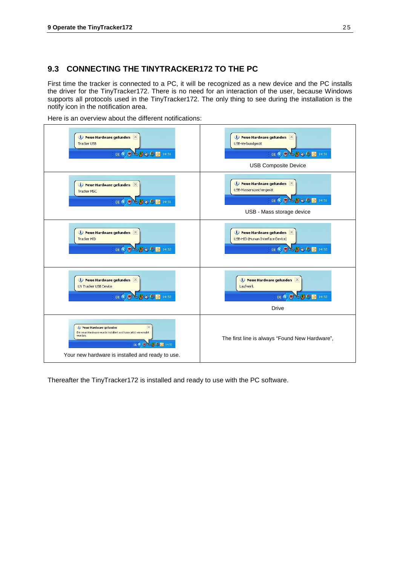# **9.3 CONNECTING THE TINYTRACKER172 TO THE PC**

First time the tracker is connected to a PC, it will be recognized as a new device and the PC installs the driver for the TinyTracker172. There is no need for an interaction of the user, because Windows supports all protocols used in the TinyTracker172. The only thing to see during the installation is the notify icon in the notification area.

| i) Neue Hardware gefunden X<br>Tracker USB<br>DE < JE & BO D 14:31                                                                                                                          | i Neue Hardware gefunden X<br>USB-Verbundgerät<br><b>USB Composite Device</b>                    |
|---------------------------------------------------------------------------------------------------------------------------------------------------------------------------------------------|--------------------------------------------------------------------------------------------------|
| i Neue Hardware gefunden X<br>Tracker MSC<br>DE < JE & BO D 14:31                                                                                                                           | i Neue Hardware gefunden<br>$\mathbb{X}$<br>USB-Massenspeichergerät<br>USB - Mass storage device |
| i) Neue Hardware gefunden X<br><b>Tracker HID</b>                                                                                                                                           | <i>i</i> Neue Hardware gefunden<br>USB-HID (Human Interface Device)<br>DE < 思考6 5 0 14:32        |
| i) Neue Hardware gefunden X<br>UV Tracker USB Device                                                                                                                                        | U Neue Hardware gefunden X<br>Laufwerk<br>DE 3 型と野の回 14:32<br><b>Drive</b>                       |
| i Neue Hardware gefunden<br>$\times$<br>Die neue Hardware wurde installiert und kann jetzt verwendet<br>werden.<br>DE < 型 B 5 0 0 14:32<br>Your new hardware is installed and ready to use. | The first line is always "Found New Hardware",                                                   |

Here is an overview about the different notifications:

Thereafter the TinyTracker172 is installed and ready to use with the PC software.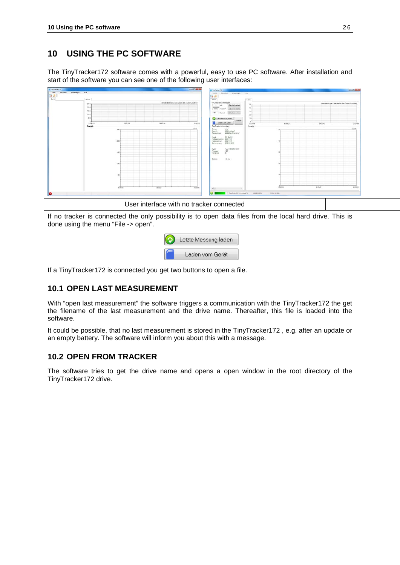# **10 USING THE PC SOFTWARE**

The TinyTracker172 software comes with a powerful, easy to use PC software. After installation and start of the software you can see one of the following user interfaces:

![](_page_25_Figure_3.jpeg)

If no tracker is connected the only possibility is to open data files from the local hard drive. This is done using the menu "File -> open".

| Letzte Messung laden |
|----------------------|
| Laden vom Gerät      |

If a TinyTracker172 is connected you get two buttons to open a file.

## **10.1 OPEN LAST MEASUREMENT**

With "open last measurement" the software triggers a communication with the TinyTracker172 the get the filename of the last measurement and the drive name. Thereafter, this file is loaded into the software.

It could be possible, that no last measurement is stored in the TinyTracker172 , e.g. after an update or an empty battery. The software will inform you about this with a message.

### **10.2 OPEN FROM TRACKER**

The software tries to get the drive name and opens a open window in the root directory of the TinyTracker172 drive.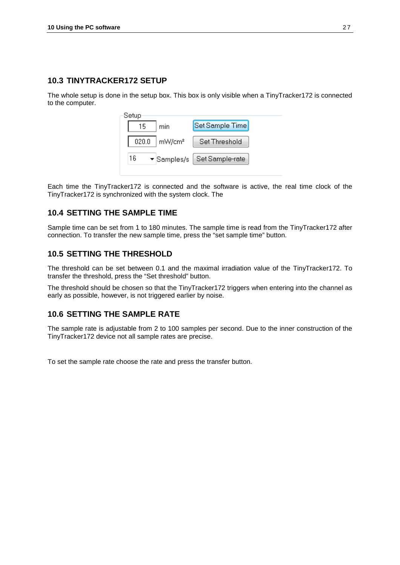# **10.3 TINYTRACKER172 SETUP**

The whole setup is done in the setup box. This box is only visible when a TinyTracker172 is connected to the computer.

![](_page_26_Figure_3.jpeg)

Each time the TinyTracker172 is connected and the software is active, the real time clock of the TinyTracker172 is synchronized with the system clock. The

## **10.4 SETTING THE SAMPLE TIME**

Sample time can be set from 1 to 180 minutes. The sample time is read from the TinyTracker172 after connection. To transfer the new sample time, press the "set sample time" button.

# **10.5 SETTING THE THRESHOLD**

The threshold can be set between 0.1 and the maximal irradiation value of the TinyTracker172. To transfer the threshold, press the "Set threshold" button.

The threshold should be chosen so that the TinyTracker172 triggers when entering into the channel as early as possible, however, is not triggered earlier by noise.

# **10.6 SETTING THE SAMPLE RATE**

The sample rate is adjustable from 2 to 100 samples per second. Due to the inner construction of the TinyTracker172 device not all sample rates are precise.

To set the sample rate choose the rate and press the transfer button.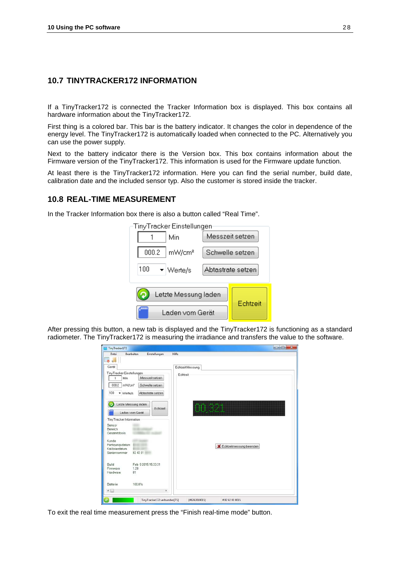# **10.7 TINYTRACKER172 INFORMATION**

If a TinyTracker172 is connected the Tracker Information box is displayed. This box contains all hardware information about the TinyTracker172.

First thing is a colored bar. This bar is the battery indicator. It changes the color in dependence of the energy level. The TinyTracker172 is automatically loaded when connected to the PC. Alternatively you can use the power supply.

Next to the battery indicator there is the Version box. This box contains information about the Firmware version of the TinyTracker172. This information is used for the Firmware update function.

At least there is the TinyTracker172 information. Here you can find the serial number, build date, calibration date and the included sensor typ. Also the customer is stored inside the tracker.

## **10.8 REAL-TIME MEASUREMENT**

In the Tracker Information box there is also a button called "Real Time".

![](_page_27_Figure_8.jpeg)

After pressing this button, a new tab is displayed and the TinyTracker172 is functioning as a standard radiometer. The TinyTracker172 is measuring the irradiance and transfers the value to the software.

| Datei<br>Bearbeiten               | Einstellungen       | Hilfe                       |
|-----------------------------------|---------------------|-----------------------------|
| ×                                 |                     |                             |
| Gerät                             |                     | Echtzeit Messung            |
| TinyTracker Einstellungen         |                     | Echtzeit                    |
| Min                               | Messzeit setzen     |                             |
| 000.2<br>mW/cm <sup>2</sup>       | Schwelle setzen     |                             |
|                                   |                     |                             |
| 100<br>- Werte/s                  | Abtastrate setzen   |                             |
|                                   |                     |                             |
| Letzte Messung laden<br>ര         | Echtzeit            | <u> 1999 – Jan Jan Jawa</u> |
| Laden vom Gerät                   |                     |                             |
| TinyTracker Information           |                     |                             |
| Sensor                            |                     |                             |
| Bereich                           |                     |                             |
| Gesamtdosis                       |                     |                             |
| Kunde                             |                     |                             |
| Fertigungsdatum<br>Kalibrierdatum |                     | X Echtzeitmessung beenden   |
| Seriennummer                      | 82 42 01            |                             |
|                                   |                     |                             |
| Build                             | Feb 9 2015 15:33:31 |                             |
| Firmware<br>1.20                  |                     |                             |
| 01<br>Hardware                    |                     |                             |
| Batterie                          | 100.0%              |                             |
|                                   |                     |                             |

To exit the real time measurement press the "Finish real-time mode" button.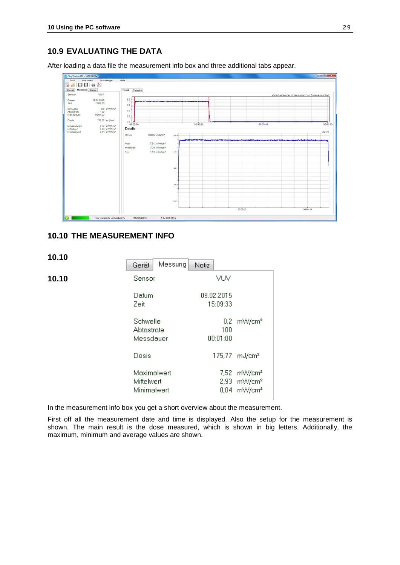# **10.9 EVALUATING THE DATA**

After loading a data file the measurement info box and three additional tabs appear.

![](_page_28_Figure_3.jpeg)

#### **10.10 THE MEASUREMENT INFO**

**10.10**

|       | Messung<br>Gerät                         | Notiz                  |                                                                |
|-------|------------------------------------------|------------------------|----------------------------------------------------------------|
| 10.10 | Sensor                                   | VUV                    |                                                                |
|       | Datum<br>Zeit                            | 09.02.2015<br>15:09:33 |                                                                |
|       | Schwelle<br>Abtastrate<br>Messdauer      | 0,2<br>100<br>00:01:00 | mW/cm <sup>2</sup>                                             |
|       | Dosis                                    | 175,77                 | mJ/cm <sup>2</sup>                                             |
|       | Maximalwert<br>Mittelwert<br>Minimalwert | 7,52<br>2,93<br>0,04   | mW/cm <sup>2</sup><br>mW/cm <sup>2</sup><br>mW/cm <sup>2</sup> |

In the measurement info box you get a short overview about the measurement.

First off all the measurement date and time is displayed. Also the setup for the measurement is shown. The main result is the dose measured, which is shown in big letters. Additionally, the maximum, minimum and average values are shown.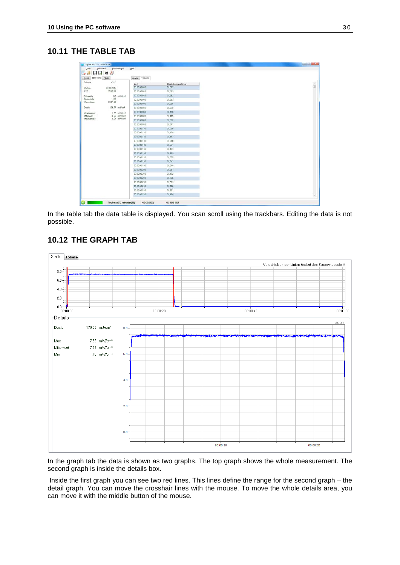# **10.11 THE TABLE TAB**

| 日日号人<br>0 <sub>1</sub>                 |                   |                    |  |
|----------------------------------------|-------------------|--------------------|--|
| Gerät Messung Notz                     | Tobelle<br>Grafik |                    |  |
| <b>VUV</b><br>Sensor                   | Zet               | Bestrahlungsstärke |  |
| 09.02.2015<br>Datum                    | 00 00 00 000      | 00.317             |  |
| 15:09:33<br>Zeit                       | 00:00:00:010      | 00.383             |  |
| 0,2 mW/cm*<br>Schwelle                 | 00:00:00:020      | 00.392             |  |
| 100<br>Abtastrate                      | 00.00.00.030      | 00.353             |  |
| 00:01:00<br>Messdauer                  | 0000.00.040       | 00.295             |  |
| 175.77 m.//cm <sup>1</sup><br>Dosis    | 00:00:00:050      | 00.232             |  |
| Meximalwert<br>7.52 mW/cm <sup>2</sup> | 0000.00060        | 88.158             |  |
| Mittelwert<br>2.93 mW/cm <sup>2</sup>  | 00:00:00:070      | 00.115             |  |
| 0.04 mW/cm*<br>Minimalwert             | 00 00 00 080      | 00.082             |  |
|                                        | 00:00:00:090      | 00.071             |  |
|                                        | 000000100         | 00.080             |  |
|                                        | 00:00:00:110      | 00.109             |  |
|                                        | 00:00:00:120      | 00.157             |  |
|                                        | 00:00:00:130      | 00.210             |  |
|                                        | 0000.00:140       | 00.231             |  |
|                                        | 00:00:00:150      | 00,193             |  |
|                                        | 0000.00160        | 88.113             |  |
|                                        | 00:00:00:170      | 00.055             |  |
|                                        | 000000180         | 00.041             |  |
|                                        | 00:00:00:190      | 00.049             |  |
|                                        | 000000200         | 00.081             |  |
|                                        | 00:00:00:219      | 00.172             |  |
|                                        | 00:00:00:220      | 00.326             |  |
|                                        | 00 00 00 230      | 00.523             |  |
|                                        | 000000240         | 00.726             |  |
|                                        | 00:00:00:258      | 00.921             |  |
|                                        | 0000.00260        | 01.104             |  |

In the table tab the data table is displayed. You scan scroll using the trackbars. Editing the data is not possible.

# **10.12 THE GRAPH TAB**

![](_page_29_Figure_5.jpeg)

In the graph tab the data is shown as two graphs. The top graph shows the whole measurement. The second graph is inside the details box.

Inside the first graph you can see two red lines. This lines define the range for the second graph – the detail graph. You can move the crosshair lines with the mouse. To move the whole details area, you can move it with the middle button of the mouse.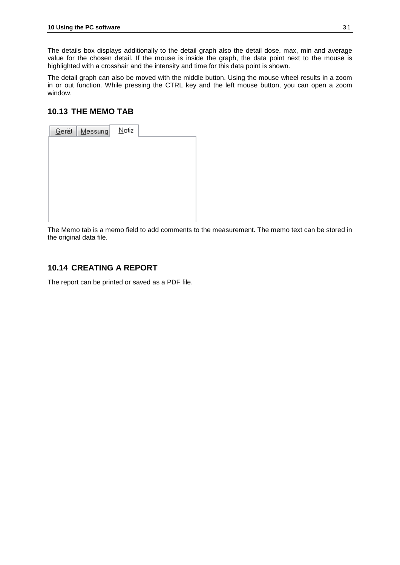The details box displays additionally to the detail graph also the detail dose, max, min and average value for the chosen detail. If the mouse is inside the graph, the data point next to the mouse is highlighted with a crosshair and the intensity and time for this data point is shown.

The detail graph can also be moved with the middle button. Using the mouse wheel results in a zoom in or out function. While pressing the CTRL key and the left mouse button, you can open a zoom window.

# **10.13 THE MEMO TAB**

| Gerät   Messung | Notiz |
|-----------------|-------|
|                 |       |
|                 |       |
|                 |       |
|                 |       |
|                 |       |
|                 |       |
|                 |       |

The Memo tab is a memo field to add comments to the measurement. The memo text can be stored in the original data file.

# **10.14 CREATING A REPORT**

The report can be printed or saved as a PDF file.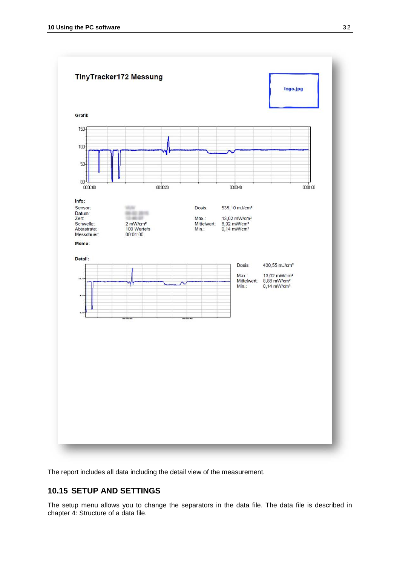![](_page_31_Figure_1.jpeg)

The report includes all data including the detail view of the measurement.

# **10.15 SETUP AND SETTINGS**

The setup menu allows you to change the separators in the data file. The data file is described in chapter [4: Structure of a data file.](#page-33-0)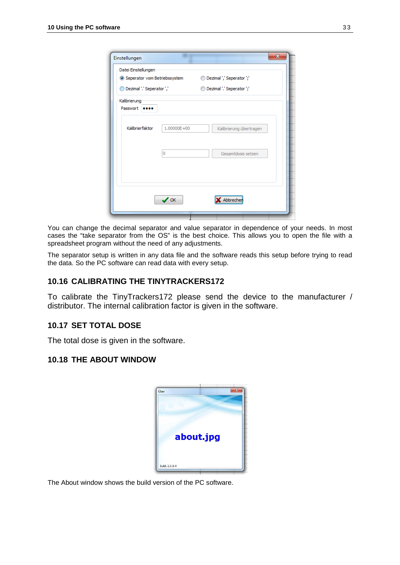| Datei Einstellungen<br>Seperator vom Betriebssystem |             | Dezimal ',' Seperator ';'<br>∩ |
|-----------------------------------------------------|-------------|--------------------------------|
| Dezimal '.' Seperator ','<br>∩                      |             | Dezimal '.' Seperator ';'      |
| Kalibrierung<br>Passwort<br>                        |             |                                |
| Kalibrierfaktor                                     | 1.00000E+00 | Kalibrierung übertragen        |
|                                                     | 0           | Gesamtdosis setzen             |
|                                                     |             |                                |

You can change the decimal separator and value separator in dependence of your needs. In most cases the "take separator from the OS" is the best choice. This allows you to open the file with a spreadsheet program without the need of any adjustments.

The separator setup is written in any data file and the software reads this setup before trying to read the data. So the PC software can read data with every setup.

## **10.16 CALIBRATING THE TINYTRACKERS172**

To calibrate the TinyTrackers172 please send the device to the manufacturer / distributor. The internal calibration factor is given in the software.

## **10.17 SET TOTAL DOSE**

The total dose is given in the software.

## **10.18 THE ABOUT WINDOW**

![](_page_32_Picture_9.jpeg)

The About window shows the build version of the PC software.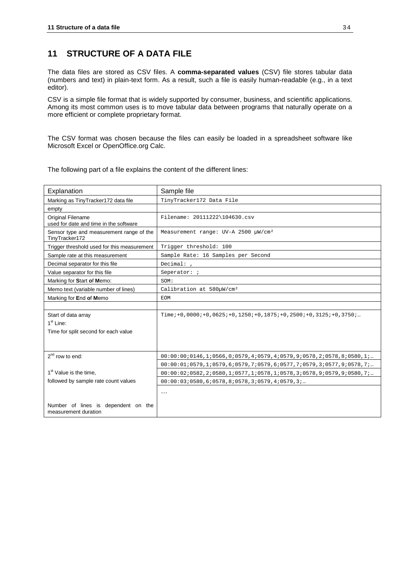# <span id="page-33-0"></span>**11 STRUCTURE OF A DATA FILE**

The data files are stored as CSV files. A **comma-separated values** (CSV) file stores tabular data (numbers and text) in plain-text form. As a result, such a file is easily human-readable (e.g., in a text editor).

CSV is a simple file format that is widely supported by consumer, business, and scientific applications. Among its most common uses is to move tabular data between programs that naturally operate on a more efficient or complete proprietary format.

The CSV format was chosen because the files can easily be loaded in a spreadsheet software like Microsoft Excel or OpenOffice.org Calc.

The following part of a file explains the content of the different lines:

| Explanation                                                        | Sample file                                                                               |
|--------------------------------------------------------------------|-------------------------------------------------------------------------------------------|
| Marking as TinyTracker172 data file                                | TinyTracker172 Data File                                                                  |
| empty                                                              |                                                                                           |
| <b>Original Filename</b><br>used for date and time in the software | Filename: 20111222\104630.csv                                                             |
| Sensor type and measurement range of the<br>TinyTracker172         | Measurement range: UV-A 2500 µW/cm <sup>2</sup>                                           |
| Trigger threshold used for this measurement                        | Trigger threshold: 100                                                                    |
| Sample rate at this measurement                                    | Sample Rate: 16 Samples per Second                                                        |
| Decimal separator for this file                                    | Decimal: $\overline{\phantom{a}}$                                                         |
| Value separator for this file                                      | Seperator: ;                                                                              |
| Marking for Start of Memo:                                         | SOM:                                                                                      |
| Memo text (variable number of lines)                               | Calibration at 580µW/cm <sup>2</sup>                                                      |
| Marking for End of Memo                                            | EOM                                                                                       |
|                                                                    |                                                                                           |
| Start of data array                                                | Time; $+0.0000$ ; $+0.0625$ ; $+0.1250$ ; $+0.1875$ ; $+0.2500$ ; $+0.3125$ ; $+0.3750$ ; |
| 1 <sup>st</sup> Line:                                              |                                                                                           |
| Time for split second for each value                               |                                                                                           |
|                                                                    |                                                                                           |
| $2^{nd}$ row to end:                                               | $00:00:00:0146,1:0566,0:0579,4:0579,4:0579,9:0578,2:0578,8:0580,11;$                      |
|                                                                    | 00:00:01;0579,1;0579,6;0579,7;0579,6;0577,7;0579,3;0577,9;0578,7;                         |
| 1 <sup>st</sup> Value is the time.                                 | 00:00:02;0582,2;0580,1;0577,1;0578,1;0578,3;0578,9;0579,9;0580,7;                         |
| followed by sample rate count values                               | $00:00:03:0580,6:0578,8:0578,3:0579,4:0579,3:$                                            |
|                                                                    | $\sim$ $\sim$ $\sim$                                                                      |
|                                                                    |                                                                                           |
| Number of lines is dependent on the<br>measurement duration        |                                                                                           |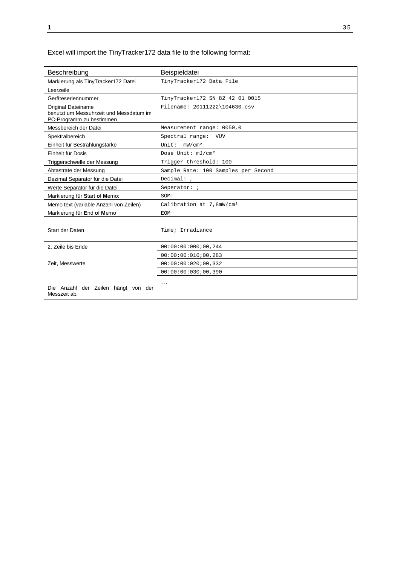# Excel will import the TinyTracker172 data file to the following format:

| Beschreibung                                                                              | Beispieldatei                        |
|-------------------------------------------------------------------------------------------|--------------------------------------|
| Markierung als TinyTracker172 Datei                                                       | TinyTracker172 Data File             |
| Leerzeile                                                                                 |                                      |
| Geräteseriennummer                                                                        | TinyTracker172 SN 82 42 01 0015      |
| Original Dateiname<br>benutzt um Messuhrzeit und Messdatum im<br>PC-Programm zu bestimmen | Filename: 20111222\104630.csv        |
| Messbereich der Datei                                                                     | Measurement range: 0050,0            |
| Spektralbereich                                                                           | Spectral range: VUV                  |
| Einheit für Bestrahlungstärke                                                             | Unit: $mW/cm^2$                      |
| Einheit für Dosis                                                                         | Dose Unit: mJ/cm <sup>2</sup>        |
| Triggerschwelle der Messung                                                               | Trigger threshold: 100               |
| Abtastrate der Messung                                                                    | Sample Rate: 100 Samples per Second  |
| Dezimal Separator für die Datei                                                           | Decimal: ,                           |
| Werte Separator für die Datei                                                             | Seperator: ;                         |
| Markierung für Start of Memo:                                                             | SOM:                                 |
| Memo text (variable Anzahl von Zeilen)                                                    | Calibration at 7,8mW/cm <sup>2</sup> |
| Markierung für End of Memo                                                                | EOM                                  |
|                                                                                           |                                      |
| Start der Daten                                                                           | Time; Irradiance                     |
| 2. Zeile bis Ende                                                                         | 00:00:00:000:00,244                  |
|                                                                                           | 00:00:00:010:00,283                  |
| Zeit, Messwerte                                                                           | 00:00:00:020:00,332                  |
|                                                                                           | 00:00:00:030:00,390                  |
| Die Anzahl der Zeilen hängt von der<br>Messzeit ab.                                       | $\cdots$                             |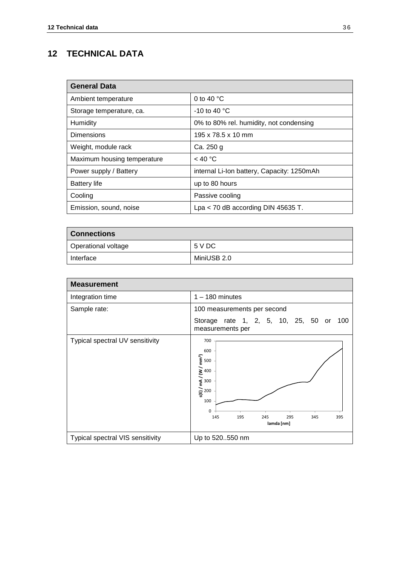# **12 TECHNICAL DATA**

| <b>General Data</b>         |                                            |  |
|-----------------------------|--------------------------------------------|--|
| Ambient temperature         | 0 to 40 $^{\circ}$ C                       |  |
| Storage temperature, ca.    | $-10$ to 40 °C                             |  |
| Humidity                    | 0% to 80% rel. humidity, not condensing    |  |
| <b>Dimensions</b>           | 195 x 78.5 x 10 mm                         |  |
| Weight, module rack         | Ca. 250 g                                  |  |
| Maximum housing temperature | < 40 °C                                    |  |
| Power supply / Battery      | internal Li-Ion battery, Capacity: 1250mAh |  |
| <b>Battery life</b>         | up to 80 hours                             |  |
| Cooling                     | Passive cooling                            |  |
| Emission, sound, noise      | Lpa < 70 dB according DIN 45635 T.         |  |

| <b>Connections</b>  |             |  |
|---------------------|-------------|--|
| Operational voltage | 5 V DC      |  |
| Interface           | MiniUSB 2.0 |  |

| <b>Measurement</b>               |                                                                                                                                                                                                                                                                                                                                     |
|----------------------------------|-------------------------------------------------------------------------------------------------------------------------------------------------------------------------------------------------------------------------------------------------------------------------------------------------------------------------------------|
| Integration time                 | $1 - 180$ minutes                                                                                                                                                                                                                                                                                                                   |
| Sample rate:                     | 100 measurements per second                                                                                                                                                                                                                                                                                                         |
|                                  | Storage rate 1, 2, 5, 10, 25, 50 or<br>100<br>measurements per                                                                                                                                                                                                                                                                      |
| Typical spectral UV sensitivity  | 700<br>600<br>$\frac{1}{2}$<br>$\frac{1}{2}$<br>$\frac{1}{2}$<br>$\frac{1}{2}$<br>$\frac{1}{2}$<br>$\frac{1}{2}$<br>$\frac{1}{2}$<br>$\frac{1}{2}$<br>$\frac{1}{2}$<br>$\frac{1}{2}$<br>$\frac{1}{2}$<br>$\frac{1}{2}$<br>$\frac{1}{2}$<br>$\frac{1}{2}$<br>100<br>$\Omega$<br>195<br>245<br>145<br>295<br>345<br>395<br>lamda [nm] |
| Typical spectral VIS sensitivity | Up to 520550 nm                                                                                                                                                                                                                                                                                                                     |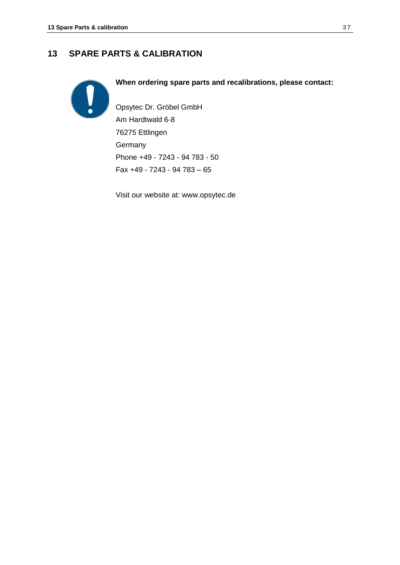# **13 SPARE PARTS & CALIBRATION**

![](_page_36_Picture_2.jpeg)

# **When ordering spare parts and recalibrations, please contact:**

Opsytec Dr. Gröbel GmbH Am Hardtwald 6-8 76275 Ettlingen **Germany** Phone +49 - 7243 - 94 783 - 50 Fax +49 - 7243 - 94 783 – 65

Visit our website at: www.opsytec.de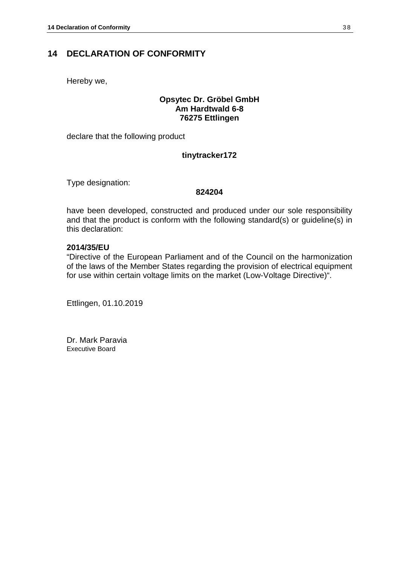# **14 DECLARATION OF CONFORMITY**

Hereby we,

# **Opsytec Dr. Gröbel GmbH Am Hardtwald 6-8 76275 Ettlingen**

declare that the following product

# **tinytracker172**

Type designation:

## **824204**

have been developed, constructed and produced under our sole responsibility and that the product is conform with the following standard(s) or guideline(s) in this declaration:

# **2014/35/EU**

"Directive of the European Parliament and of the Council on the harmonization of the laws of the Member States regarding the provision of electrical equipment for use within certain voltage limits on the market (Low-Voltage Directive)".

Ettlingen, 01.10.2019

Dr. Mark Paravia Executive Board